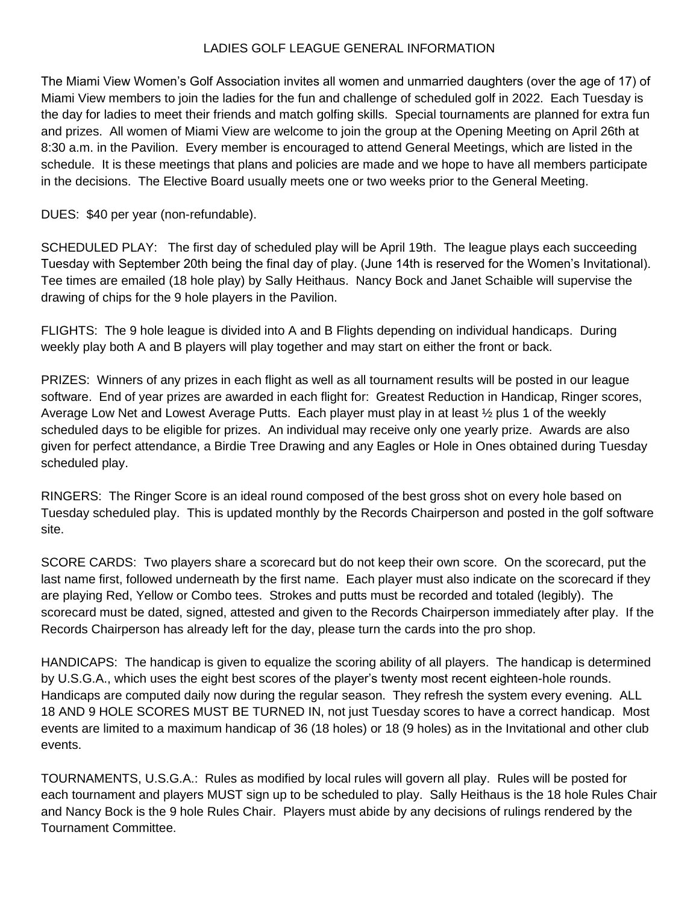## LADIES GOLF LEAGUE GENERAL INFORMATION

The Miami View Women's Golf Association invites all women and unmarried daughters (over the age of 17) of Miami View members to join the ladies for the fun and challenge of scheduled golf in 2022. Each Tuesday is the day for ladies to meet their friends and match golfing skills. Special tournaments are planned for extra fun and prizes. All women of Miami View are welcome to join the group at the Opening Meeting on April 26th at 8:30 a.m. in the Pavilion. Every member is encouraged to attend General Meetings, which are listed in the schedule. It is these meetings that plans and policies are made and we hope to have all members participate in the decisions. The Elective Board usually meets one or two weeks prior to the General Meeting.

DUES: \$40 per year (non-refundable).

SCHEDULED PLAY: The first day of scheduled play will be April 19th. The league plays each succeeding Tuesday with September 20th being the final day of play. (June 14th is reserved for the Women's Invitational). Tee times are emailed (18 hole play) by Sally Heithaus. Nancy Bock and Janet Schaible will supervise the drawing of chips for the 9 hole players in the Pavilion.

FLIGHTS: The 9 hole league is divided into A and B Flights depending on individual handicaps. During weekly play both A and B players will play together and may start on either the front or back.

PRIZES: Winners of any prizes in each flight as well as all tournament results will be posted in our league software. End of year prizes are awarded in each flight for: Greatest Reduction in Handicap, Ringer scores, Average Low Net and Lowest Average Putts. Each player must play in at least ½ plus 1 of the weekly scheduled days to be eligible for prizes. An individual may receive only one yearly prize. Awards are also given for perfect attendance, a Birdie Tree Drawing and any Eagles or Hole in Ones obtained during Tuesday scheduled play.

RINGERS: The Ringer Score is an ideal round composed of the best gross shot on every hole based on Tuesday scheduled play. This is updated monthly by the Records Chairperson and posted in the golf software site.

SCORE CARDS: Two players share a scorecard but do not keep their own score. On the scorecard, put the last name first, followed underneath by the first name. Each player must also indicate on the scorecard if they are playing Red, Yellow or Combo tees. Strokes and putts must be recorded and totaled (legibly). The scorecard must be dated, signed, attested and given to the Records Chairperson immediately after play. If the Records Chairperson has already left for the day, please turn the cards into the pro shop.

HANDICAPS: The handicap is given to equalize the scoring ability of all players. The handicap is determined by U.S.G.A., which uses the eight best scores of the player's twenty most recent eighteen-hole rounds. Handicaps are computed daily now during the regular season. They refresh the system every evening. ALL 18 AND 9 HOLE SCORES MUST BE TURNED IN, not just Tuesday scores to have a correct handicap. Most events are limited to a maximum handicap of 36 (18 holes) or 18 (9 holes) as in the Invitational and other club events.

TOURNAMENTS, U.S.G.A.: Rules as modified by local rules will govern all play. Rules will be posted for each tournament and players MUST sign up to be scheduled to play. Sally Heithaus is the 18 hole Rules Chair and Nancy Bock is the 9 hole Rules Chair. Players must abide by any decisions of rulings rendered by the Tournament Committee.